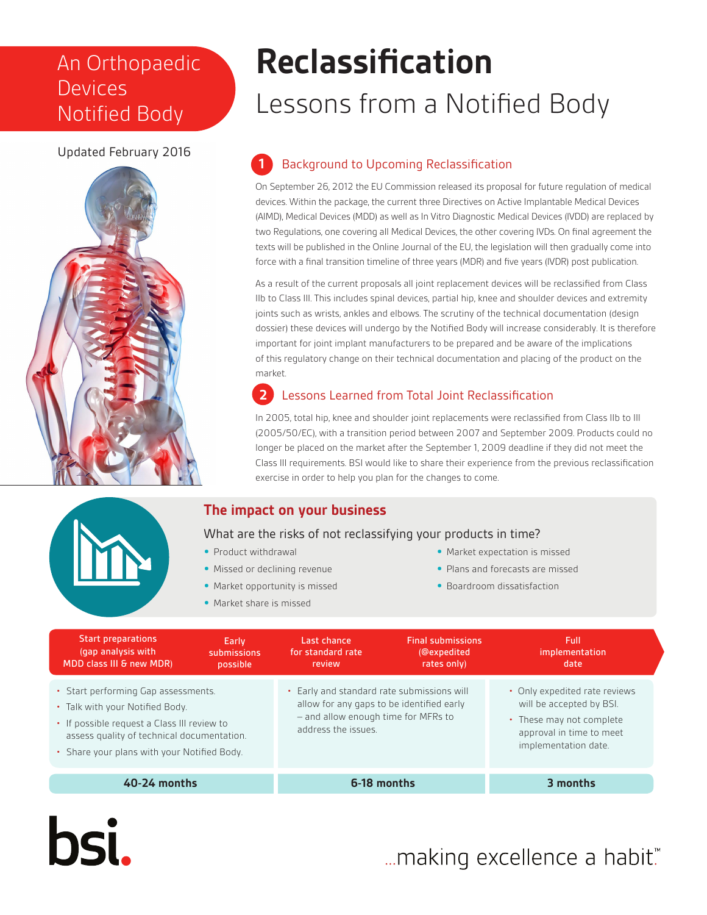## An Orthopaedic Devices Notified Body

## Updated February 2016



# **Reclassification**

## Lessons from a Notified Body

## **1** Background to Upcoming Reclassification

On September 26, 2012 the EU Commission released its proposal for future regulation of medical devices. Within the package, the current three Directives on Active Implantable Medical Devices (AIMD), Medical Devices (MDD) as well as In Vitro Diagnostic Medical Devices (IVDD) are replaced by two Regulations, one covering all Medical Devices, the other covering IVDs. On final agreement the texts will be published in the Online Journal of the EU, the legislation will then gradually come into force with a final transition timeline of three years (MDR) and five years (IVDR) post publication.

As a result of the current proposals all joint replacement devices will be reclassified from Class IIb to Class III. This includes spinal devices, partial hip, knee and shoulder devices and extremity joints such as wrists, ankles and elbows. The scrutiny of the technical documentation (design dossier) these devices will undergo by the Notified Body will increase considerably. It is therefore important for joint implant manufacturers to be prepared and be aware of the implications of this regulatory change on their technical documentation and placing of the product on the market.

## **2** Lessons Learned from Total Joint Reclassification

In 2005, total hip, knee and shoulder joint replacements were reclassified from Class IIb to III (2005/50/EC), with a transition period between 2007 and September 2009. Products could no longer be placed on the market after the September 1, 2009 deadline if they did not meet the Class III requirements. BSI would like to share their experience from the previous reclassification exercise in order to help you plan for the changes to come.

## **The impact on your business**



**bsi.** 

What are the risks of not reclassifying your products in time?

- **•** Product withdrawal
- **•** Missed or declining revenue
- **•** Market opportunity is missed
- **•** Market share is missed
- **•** Market expectation is missed
- **•** Plans and forecasts are missed
- **•** Boardroom dissatisfaction

| <b>Start preparations</b><br>(gap analysis with<br>MDD class III & new MDR)                                                                                                                                        | Early<br>submissions<br>possible | Last chance<br>for standard rate<br>review                                                                                                            | <b>Final submissions</b><br>(@expedited<br>rates only) | Full<br>implementation<br>date                                                                                                            |
|--------------------------------------------------------------------------------------------------------------------------------------------------------------------------------------------------------------------|----------------------------------|-------------------------------------------------------------------------------------------------------------------------------------------------------|--------------------------------------------------------|-------------------------------------------------------------------------------------------------------------------------------------------|
| • Start performing Gap assessments.<br>• Talk with your Notified Body.<br>• If possible request a Class III review to<br>assess quality of technical documentation.<br>• Share your plans with your Notified Body. |                                  | • Early and standard rate submissions will<br>allow for any gaps to be identified early<br>- and allow enough time for MFRs to<br>address the issues. |                                                        | • Only expedited rate reviews<br>will be accepted by BSI.<br>• These may not complete<br>approval in time to meet<br>implementation date. |
| $40-24$ months                                                                                                                                                                                                     |                                  | 6-18 months                                                                                                                                           |                                                        | 3 months                                                                                                                                  |

... making excellence a habit."